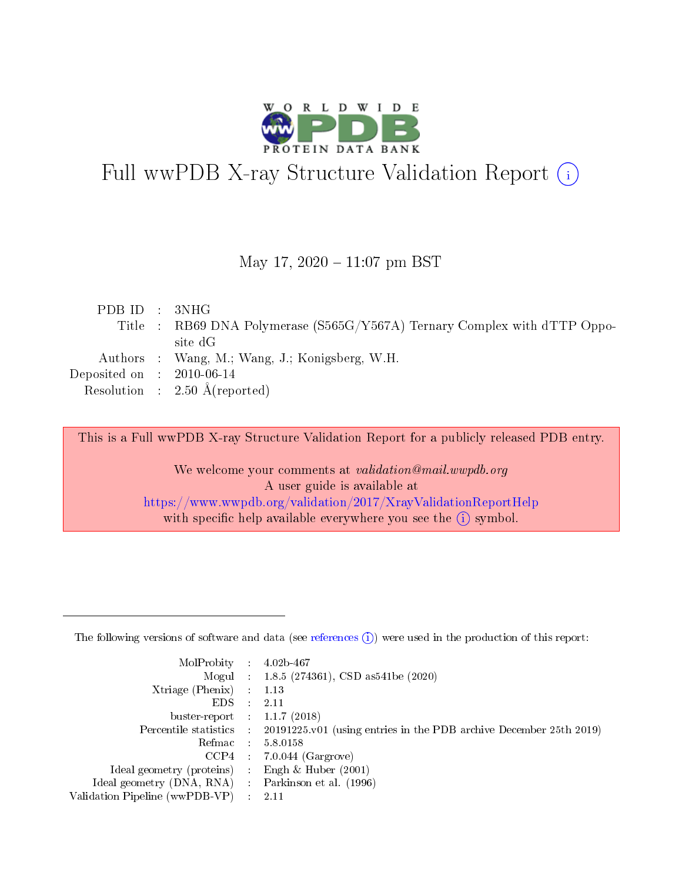

# Full wwPDB X-ray Structure Validation Report (i)

#### May 17,  $2020 - 11:07$  pm BST

| PDB ID : 3NHG               |                                                                           |
|-----------------------------|---------------------------------------------------------------------------|
|                             | Title : RB69 DNA Polymerase (S565G/Y567A) Ternary Complex with dTTP Oppo- |
|                             | site dG                                                                   |
|                             | Authors : Wang, M.; Wang, J.; Konigsberg, W.H.                            |
| Deposited on : $2010-06-14$ |                                                                           |
|                             | Resolution : $2.50 \text{ Å}$ (reported)                                  |
|                             |                                                                           |

This is a Full wwPDB X-ray Structure Validation Report for a publicly released PDB entry.

We welcome your comments at validation@mail.wwpdb.org A user guide is available at <https://www.wwpdb.org/validation/2017/XrayValidationReportHelp> with specific help available everywhere you see the  $(i)$  symbol.

The following versions of software and data (see [references](https://www.wwpdb.org/validation/2017/XrayValidationReportHelp#references)  $(1)$ ) were used in the production of this report:

| MolProbity                     | $\mathcal{L}_{\rm{max}}$ | $4.02b - 467$                                                                |
|--------------------------------|--------------------------|------------------------------------------------------------------------------|
|                                |                          | Mogul : $1.8.5$ (274361), CSD as 541be (2020)                                |
| $X$ triage (Phenix) :          |                          | 1.13                                                                         |
| EDS.                           |                          | 2.11                                                                         |
| buster-report : $1.1.7$ (2018) |                          |                                                                              |
| Percentile statistics :        |                          | $20191225 \text{ v}01$ (using entries in the PDB archive December 25th 2019) |
| Refmac                         |                          | 5.8.0158                                                                     |
| $CCP4$ :                       |                          | $7.0.044$ (Gargrove)                                                         |
| Ideal geometry (proteins) :    |                          | Engh $\&$ Huber (2001)                                                       |
| Ideal geometry (DNA, RNA) :    |                          | Parkinson et al. (1996)                                                      |
| Validation Pipeline (wwPDB-VP) | $\mathcal{L}$            | -2.11                                                                        |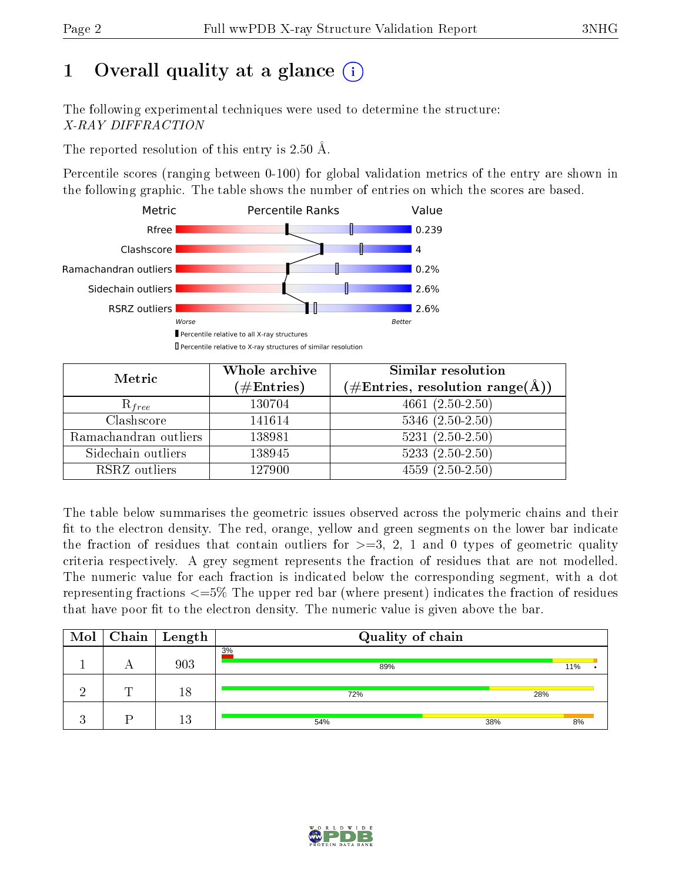# 1 [O](https://www.wwpdb.org/validation/2017/XrayValidationReportHelp#overall_quality)verall quality at a glance  $(i)$

The following experimental techniques were used to determine the structure: X-RAY DIFFRACTION

The reported resolution of this entry is 2.50 Å.

Percentile scores (ranging between 0-100) for global validation metrics of the entry are shown in the following graphic. The table shows the number of entries on which the scores are based.



| Metric                | Whole archive<br>$(\#\text{Entries})$ | <b>Similar resolution</b><br>$(\#\text{Entries},\,\text{resolution}\,\,\text{range}(\textup{\AA}))$ |
|-----------------------|---------------------------------------|-----------------------------------------------------------------------------------------------------|
| $R_{free}$            | 130704                                | $4661(2.50-2.50)$                                                                                   |
| Clashscore            | 141614                                | $5346$ $(2.50-2.50)$                                                                                |
| Ramachandran outliers | 138981                                | $5231 (2.50 - 2.50)$                                                                                |
| Sidechain outliers    | 138945                                | $5233(2.50-2.50)$                                                                                   |
| RSRZ outliers         | 127900                                | $4559(2.50-2.50)$                                                                                   |

The table below summarises the geometric issues observed across the polymeric chains and their fit to the electron density. The red, orange, yellow and green segments on the lower bar indicate the fraction of residues that contain outliers for  $>=3, 2, 1$  and 0 types of geometric quality criteria respectively. A grey segment represents the fraction of residues that are not modelled. The numeric value for each fraction is indicated below the corresponding segment, with a dot representing fractions  $\epsilon=5\%$  The upper red bar (where present) indicates the fraction of residues that have poor fit to the electron density. The numeric value is given above the bar.

| Mol |   | $\mid$ Chain $\mid$ Length | Quality of chain |     |     |  |
|-----|---|----------------------------|------------------|-----|-----|--|
|     | n | 903                        | 3%<br>89%        |     | 11% |  |
|     | T | 18                         | 72%              | 28% |     |  |
|     |   | 13                         | 54%              | 38% | 8%  |  |

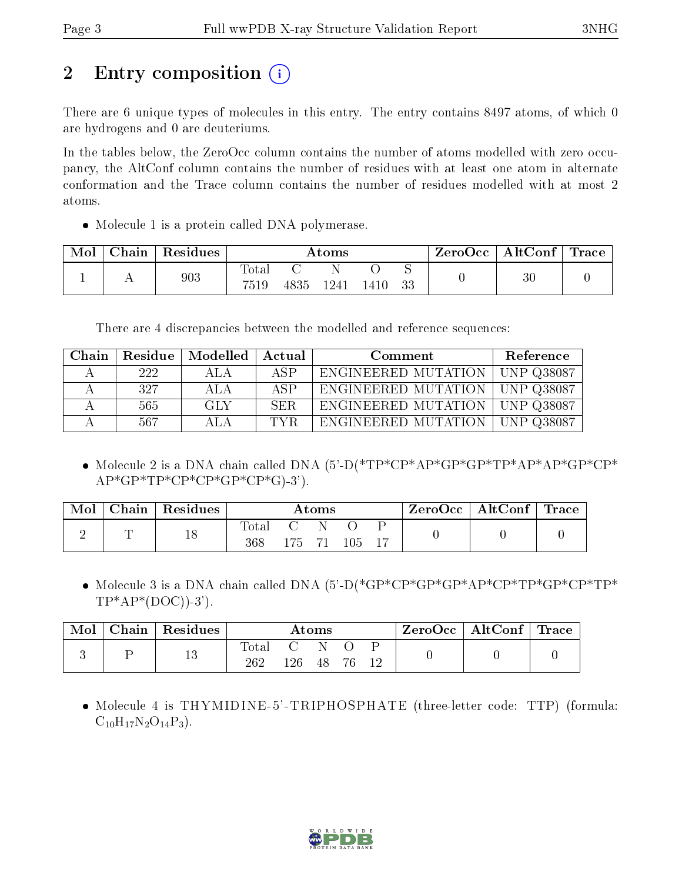# 2 Entry composition  $\left( \cdot \right)$

There are 6 unique types of molecules in this entry. The entry contains 8497 atoms, of which 0 are hydrogens and 0 are deuteriums.

In the tables below, the ZeroOcc column contains the number of atoms modelled with zero occupancy, the AltConf column contains the number of residues with at least one atom in alternate conformation and the Trace column contains the number of residues modelled with at most 2 atoms.

• Molecule 1 is a protein called DNA polymerase.

| Mol | Chain | Residues |               |      | $\rm{Atoms}$ |      |     | ZeroOcc | $\parallel$ AltConf $\parallel$ Trace $\parallel$ |  |
|-----|-------|----------|---------------|------|--------------|------|-----|---------|---------------------------------------------------|--|
|     |       | 903      | Total<br>7519 | 4835 | -1241        | 1410 | -33 |         | $30\,$                                            |  |

There are 4 discrepancies between the modelled and reference sequences:

| Chain        | Residue | Modelled | Actual | Comment             | Reference                 |
|--------------|---------|----------|--------|---------------------|---------------------------|
| $\mathbf{A}$ | 222     | ALA.     | ASP    | ENGINEERED MUTATION | UNP Q38087                |
|              | 327     | ALA      | ASP    | ENGINEERED MUTATION | UNP Q38087                |
|              | 565     | GLY      | SER.   | ENGINEERED MUTATION | UNP Q38087                |
|              | 567     | A L A    | TVR    | ENGINEERED MUTATION | $\overline{1}$ UNP Q38087 |

 Molecule 2 is a DNA chain called DNA (5'-D(\*TP\*CP\*AP\*GP\*GP\*TP\*AP\*AP\*GP\*CP\*  $AP*GP*TP*CP*CP*GP*CP*CP*GP*G$ ).

| Mol | Chain   Residues |                       | Atoms  |       | $\mathsf{ZeroOcc} \mid \mathsf{AltConf} \mid \mathsf{Trace}$ |  |
|-----|------------------|-----------------------|--------|-------|--------------------------------------------------------------|--|
|     | 18               | $\text{Total}$<br>368 | 175 71 | -105- |                                                              |  |

 Molecule 3 is a DNA chain called DNA (5'-D(\*GP\*CP\*GP\*GP\*AP\*CP\*TP\*GP\*CP\*TP\*  $TP^*AP^*(DOC)$ -3').

| Mol | Chain | $\perp$ Residues |             |        | $\rm{Atoms}$ |        |  | $\text{ZeroOcc}$   AltConf   Trace |  |
|-----|-------|------------------|-------------|--------|--------------|--------|--|------------------------------------|--|
|     |       | $13\,$           | $\rm Total$ | $-126$ | G N<br>- 48  | - 76 - |  |                                    |  |

 Molecule 4 is THYMIDINE-5'-TRIPHOSPHATE (three-letter code: TTP) (formula:  $C_{10}H_{17}N_2O_{14}P_3$ .

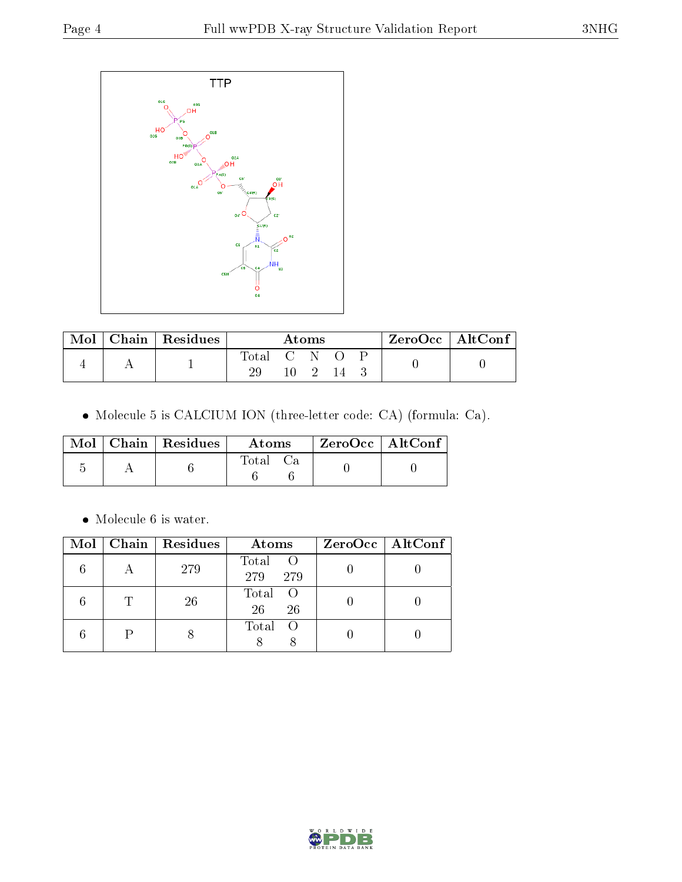

| Mol | $\vert$ Chain $\vert$ Residues |             | Atoms |  | $ZeroOcc \   \ AltConf \$ |  |
|-----|--------------------------------|-------------|-------|--|---------------------------|--|
|     |                                | Total C N O |       |  |                           |  |
|     |                                |             |       |  |                           |  |

Molecule 5 is CALCIUM ION (three-letter code: CA) (formula: Ca).

|  | $Mol$   Chain   Residues | Atoms       | $ZeroOcc \mid AltConf \mid$ |
|--|--------------------------|-------------|-----------------------------|
|  |                          | $\rm Total$ |                             |

 $\bullet\,$  Molecule 6 is water.

| Mol | Chain   Residues | Atoms                                                                       | $ZeroOcc \mid AltConf \mid$ |
|-----|------------------|-----------------------------------------------------------------------------|-----------------------------|
|     | 279              | Total<br>$\left( \begin{array}{c} 0 \\ 0 \end{array} \right)$<br>279<br>279 |                             |
|     | 26               | Total<br>- ()<br>26<br>26                                                   |                             |
|     |                  | Total<br>- ()                                                               |                             |

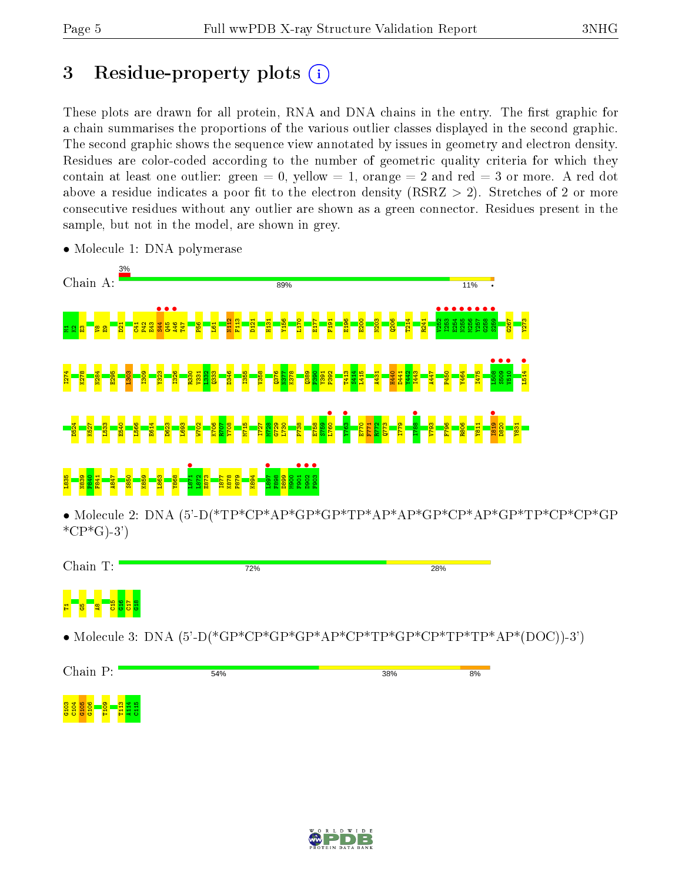# 3 Residue-property plots  $(i)$

These plots are drawn for all protein, RNA and DNA chains in the entry. The first graphic for a chain summarises the proportions of the various outlier classes displayed in the second graphic. The second graphic shows the sequence view annotated by issues in geometry and electron density. Residues are color-coded according to the number of geometric quality criteria for which they contain at least one outlier: green  $= 0$ , yellow  $= 1$ , orange  $= 2$  and red  $= 3$  or more. A red dot above a residue indicates a poor fit to the electron density (RSRZ  $> 2$ ). Stretches of 2 or more consecutive residues without any outlier are shown as a green connector. Residues present in the sample, but not in the model, are shown in grey.



• Molecule 1: DNA polymerase

• Molecule 2: DNA (5'-D(\*TP\*CP\*AP\*GP\*GP\*TP\*AP\*AP\*GP\*CP\*AP\*GP\*TP\*CP\*CP\*GP  $^*CP^*G$ -3')



• Molecule 3: DNA (5'-D(\*GP\*CP\*GP\*GP\*AP\*CP\*TP\*GP\*CP\*TP\*TP\*AP\*(DOC))-3')

Chain P: 54% 38%  $8%$ 



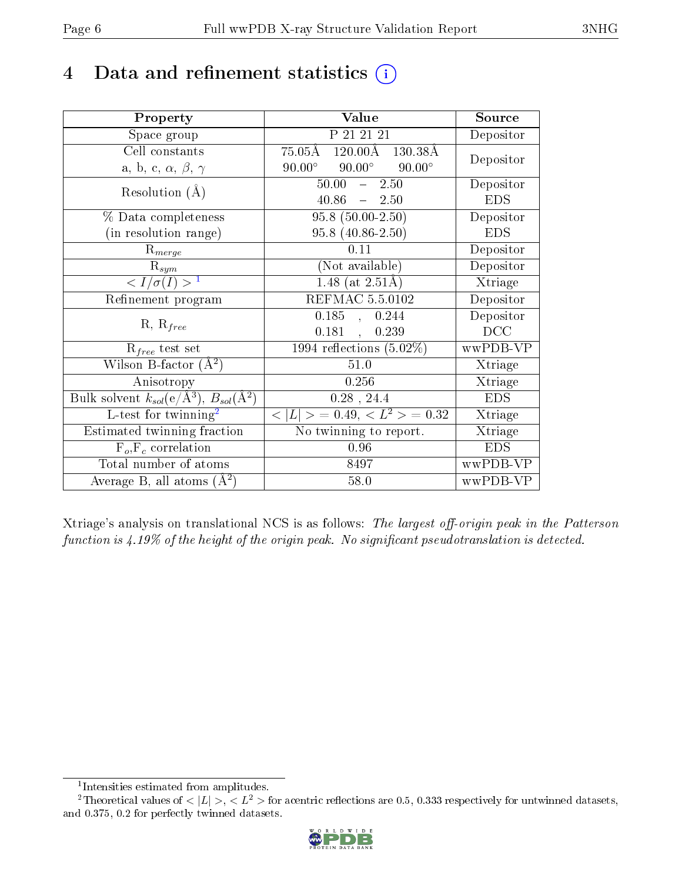# 4 Data and refinement statistics  $(i)$

| Property                                                                | Value                                                         | Source     |
|-------------------------------------------------------------------------|---------------------------------------------------------------|------------|
| Space group                                                             | P 21 21 21                                                    | Depositor  |
| Cell constants                                                          | $120.00\text{\AA}$<br>$75.05\text{\AA}$<br>$130.38\text{\AA}$ | Depositor  |
| a, b, c, $\alpha$ , $\beta$ , $\gamma$                                  | $90.00^\circ$<br>$90.00^\circ$<br>$90.00^\circ$               |            |
| Resolution $(A)$                                                        | $50.00 - 2.50$                                                | Depositor  |
|                                                                         | $40.86 = 2.50$                                                | <b>EDS</b> |
| % Data completeness                                                     | $95.8(50.00-2.50)$                                            | Depositor  |
| (in resolution range)                                                   | $95.8(40.86-2.50)$                                            | <b>EDS</b> |
| $R_{merge}$                                                             | 0.11                                                          | Depositor  |
| $\mathrm{R}_{sym}$                                                      | (Not available)                                               | Depositor  |
| $\langle I/\sigma(I) \rangle^{-1}$                                      | 1.48 (at $2.51\text{\AA})$                                    | Xtriage    |
| Refinement program                                                      | REFMAC 5.5.0102                                               | Depositor  |
|                                                                         | 0.185,<br>0.244                                               | Depositor  |
| $R, R_{free}$                                                           | 0.181<br>0.239<br>$\mathcal{L}^{\text{max}}$                  | DCC        |
| $\mathcal{R}_{free}$ test set                                           | $1994$ reflections $(5.02\%)$                                 | wwPDB-VP   |
| Wilson B-factor $(A^2)$                                                 | $51.0\,$                                                      | Xtriage    |
| Anisotropy                                                              | 0.256                                                         | Xtriage    |
| Bulk solvent $k_{sol}(\mathrm{e}/\mathrm{A}^3),\,B_{sol}(\mathrm{A}^2)$ | $0.28$ , 24.4                                                 | <b>EDS</b> |
| L-test for twinning <sup>2</sup>                                        | $< L >$ = 0.49, $< L^2 >$ = 0.32                              | Xtriage    |
| Estimated twinning fraction                                             | No twinning to report.                                        | Xtriage    |
| $F_o, F_c$ correlation                                                  | 0.96                                                          | <b>EDS</b> |
| Total number of atoms                                                   | 8497                                                          | wwPDB-VP   |
| Average B, all atoms $(A^2)$                                            | $58.0$                                                        | wwPDB-VP   |

Xtriage's analysis on translational NCS is as follows: The largest off-origin peak in the Patterson function is  $4.19\%$  of the height of the origin peak. No significant pseudotranslation is detected.

<sup>&</sup>lt;sup>2</sup>Theoretical values of  $\langle |L| \rangle$ ,  $\langle L^2 \rangle$  for acentric reflections are 0.5, 0.333 respectively for untwinned datasets, and 0.375, 0.2 for perfectly twinned datasets.



<span id="page-5-1"></span><span id="page-5-0"></span><sup>1</sup> Intensities estimated from amplitudes.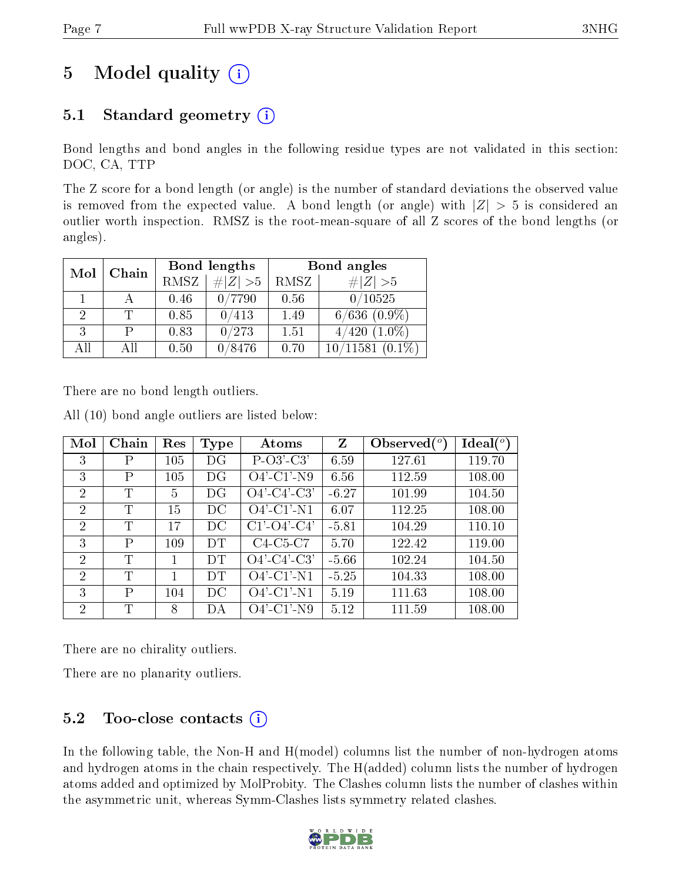# 5 Model quality  $(i)$

### 5.1 Standard geometry  $(i)$

Bond lengths and bond angles in the following residue types are not validated in this section: DOC, CA, TTP

The Z score for a bond length (or angle) is the number of standard deviations the observed value is removed from the expected value. A bond length (or angle) with  $|Z| > 5$  is considered an outlier worth inspection. RMSZ is the root-mean-square of all Z scores of the bond lengths (or angles).

| Mol<br>Chain |    | Bond lengths |           | Bond angles |                   |
|--------------|----|--------------|-----------|-------------|-------------------|
|              |    | RMSZ         | # $ Z >5$ | RMSZ        | # $ Z >5$         |
|              |    | 0.46         | 0/7790    | 0.56        | 0/10525           |
| 2            |    | 0.85         | 0/413     | 1.49        | $6/636$ $(0.9\%)$ |
| 3            |    | 0.83         | 0/273     | 1.51        | $4/420$ $(1.0\%)$ |
| АĦ           | АH | 0.50         | 0/8476    | 0.70        | $\sqrt{11581}$    |

There are no bond length outliers.

| Mol            | Chain | Res | <b>Type</b> | Atoms                 | Z       | Observed $(°)$ | $\text{Ideal}({}^o)$ |
|----------------|-------|-----|-------------|-----------------------|---------|----------------|----------------------|
| 3              | Ρ     | 105 | DG          | $P-O3'-C3'$           | 6.59    | 127.61         | 119.70               |
| 3              | Ρ     | 105 | DG          | $O4'$ -C1'-N9         | 6.56    | 112.59         | 108.00               |
| $\overline{2}$ | T     | 5   | DG          | $O4'$ -C4'-C3'        | $-6.27$ | 101.99         | 104.50               |
| $\overline{2}$ | T     | 15  | DC          | $O4'$ -C1'-N1         | 6.07    | 112.25         | 108.00               |
| $\overline{2}$ | T     | 17  | DC          | $C1'$ - $O4'$ - $C4'$ | $-5.81$ | 104.29         | 110.10               |
| 3              | P     | 109 | DT          | $C4-C5-C7$            | 5.70    | 122.42         | 119.00               |
| 2              | T     |     | DT          | $O4'$ -C4'-C3'        | $-5.66$ | 102.24         | 104.50               |
| $\overline{2}$ | T     | 1   | DT          | $O4'$ -C1'-N1         | $-5.25$ | 104.33         | 108.00               |
| 3              | P     | 104 | DС          | $O4'$ -C1'-N1         | 5.19    | 111.63         | 108.00               |
| 2              | T     | 8   | DА          | $O4'$ -C1'-N9         | 5.12    | 111.59         | 108.00               |

All (10) bond angle outliers are listed below:

There are no chirality outliers.

There are no planarity outliers.

### $5.2$  Too-close contacts  $(i)$

In the following table, the Non-H and H(model) columns list the number of non-hydrogen atoms and hydrogen atoms in the chain respectively. The H(added) column lists the number of hydrogen atoms added and optimized by MolProbity. The Clashes column lists the number of clashes within the asymmetric unit, whereas Symm-Clashes lists symmetry related clashes.

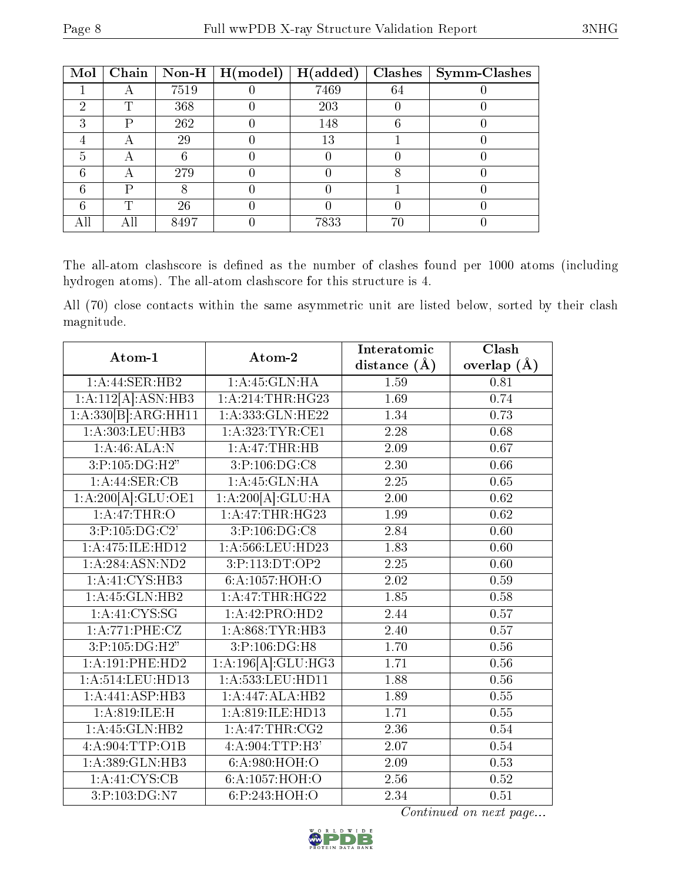| Mol |    |      | Chain   Non-H   $H (model)$ | H(added) |    | Clashes   Symm-Clashes |
|-----|----|------|-----------------------------|----------|----|------------------------|
|     |    | 7519 |                             | 7469     | 64 |                        |
| റ   | ௱  | 368  |                             | 203      |    |                        |
| ົ   | D  | 262  |                             | 148      |    |                        |
|     |    | 29   |                             | 13       |    |                        |
| 5   |    |      |                             |          |    |                        |
|     |    | 279  |                             |          |    |                        |
| ፎ   | רז |      |                             |          |    |                        |
|     | m  | 26   |                             |          |    |                        |
|     |    | 8497 |                             | 7833     | 76 |                        |

The all-atom clashscore is defined as the number of clashes found per 1000 atoms (including hydrogen atoms). The all-atom clashscore for this structure is 4.

All (70) close contacts within the same asymmetric unit are listed below, sorted by their clash magnitude.

| Atom-1              | Atom-2              | Interatomic    | Clash             |
|---------------------|---------------------|----------------|-------------------|
|                     |                     | distance $(A)$ | overlap $(A)$     |
| 1:A:44:SER:HB2      | 1:A:45:GLN:HA       | 1.59           | 0.81              |
| 1:A:112[A]:ASN:HB3  | 1: A:214:THR:HG23   | 1.69           | 0.74              |
| 1:A:330[B]:ARG:HH11 | 1:A:333: GLN: HE22  | 1.34           | 0.73              |
| 1: A: 303: LEU: HB3 | 1: A: 323: TYR: CE1 | 2.28           | 0.68              |
| 1:A:46:ALA:N        | 1:A:47:THR:HB       | 2.09           | 0.67              |
| 3:P:105:DG:H2"      | 3:P:106:DG:CS       | $2.30\,$       | 0.66              |
| 1:A:44:SER:CB       | 1:A:45:GLN:HA       | 2.25           | 0.65              |
| 1:A:200[A]:GLU:OE1  | 1:A:200[A]:GLU:HA   | 2.00           | 0.62              |
| 1:A:47:THR:O        | 1: A:47:THR:HG23    | 1.99           | $\overline{0.62}$ |
| 3:P:105:DG:C2'      | 3:P:106:DG:CS       | 2.84           | 0.60              |
| 1: A:475: ILE: HD12 | 1:A:566:LEU:HD23    | 1.83           | 0.60              |
| 1:A:284:ASN:ND2     | 3:P:113:DT:OP2      | 2.25           | 0.60              |
| 1: A: 41: CYS: HB3  | 6:A:1057:HOH:O      | 2.02           | 0.59              |
| 1:A:45:GLN:HB2      | 1: A:47:THR:HG22    | 1.85           | 0.58              |
| 1: A: 41: CYS: SG   | 1:A:42:PRO:HD2      | 2.44           | 0.57              |
| 1: A:771: PHE: CZ   | 1: A:868:TYR:HB3    | 2.40           | 0.57              |
| 3:P:105:DG:H2"      | 3:P:106:DG:H8       | 1.70           | 0.56              |
| 1: A:191:PHE:HD2    | 1:A:196[A]:GLU:HG3  | 1.71           | $0.56\,$          |
| 1:A:514:LEU:HD13    | 1:A:533:LEU:HD11    | 1.88           | 0.56              |
| 1:A:441:ASP:HB3     | 1:A:447:ALA:HB2     | 1.89           | 0.55              |
| 1:A:819:ILE:H       | 1:A:819:ILE:HD13    | 1.71           | 0.55              |
| 1:A:45:GLN:HB2      | 1:A:47:THR:CG2      | 2.36           | 0.54              |
| 4:A:904:TTP:O1B     | 4:A:904:TTP:H3'     | 2.07           | 0.54              |
| 1:A:389:GLN:HB3     | 6: A:980:HOH:O      | 2.09           | 0.53              |
| 1: A: 41: CYS: CB   | 6:A:1057:HOH:O      | 2.56           | 0.52              |
| 3:P:103:DG:NT       | 6:P:243:HOH:O       | 2.34           | 0.51              |

Continued on next page...

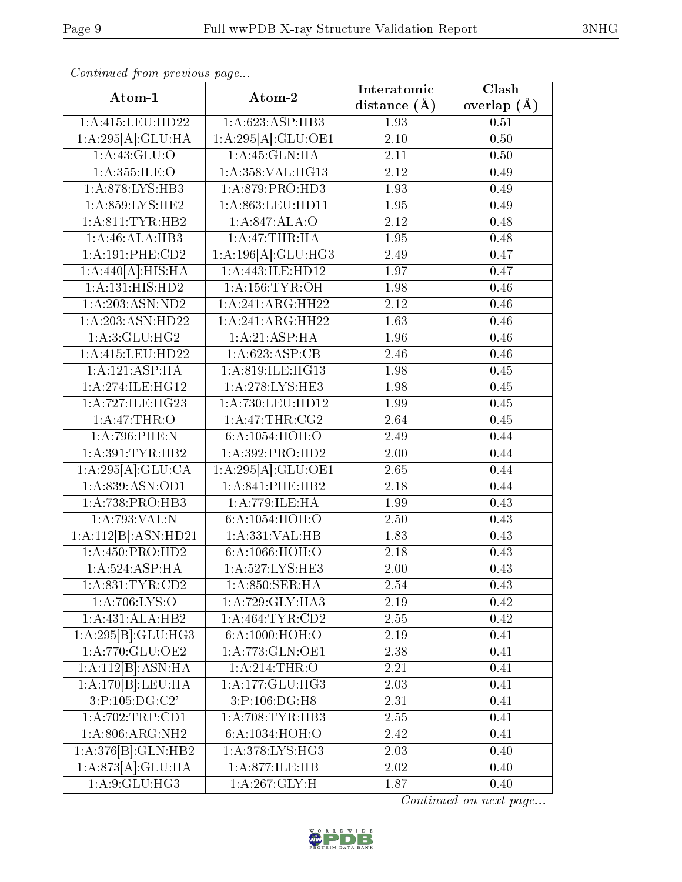|--|

| Continued from previous page   |                                 | Interatomic       | Clash         |
|--------------------------------|---------------------------------|-------------------|---------------|
| Atom-1                         | Atom-2                          | distance $(A)$    | overlap $(A)$ |
| 1:A:415:LEU:HD22               | 1:A:623:ASP:HB3                 | 1.93              | 0.51          |
| 1:A:295[A]:GLU:HA              | 1:A:295[A]:GLU:OE1              | $\overline{2.10}$ | $0.50\,$      |
| 1: A:43: GLU:O                 | 1:A:45:GLN:HA                   | 2.11              | 0.50          |
| 1: A: 355: ILE: O              | 1:A:358:VAL:HG13                | 2.12              | 0.49          |
| 1: A:878: LYS: HB3             | 1: A:879: PRO:HD3               | 1.93              | 0.49          |
| 1:A:859:LYS:HE2                | 1:A:863:LEU:HD11                | 1.95              | 0.49          |
| 1: A:811:TYR:HB2               | 1:A:847:ALA:O                   | 2.12              | 0.48          |
| 1:A:46:ALA:HB3                 | 1:A:47:THR:HA                   | 1.95              | 0.48          |
| 1:A:191:PHE:CD2                | $1:A:196[A]\overline{.GLU:HG3}$ | 2.49              | 0.47          |
| $1:\overline{A:440[A]:HIS:HA}$ | 1: A:443: ILE: HD12             | 1.97              | 0.47          |
| 1:A:131:HIS:HD2                | 1: A: 156: TYR: OH              | 1.98              | 0.46          |
| 1:A:203:ASN:ND2                | 1:A:241:ARG:HH22                | 2.12              | 0.46          |
| 1:A:203:ASN:HD22               | 1:A:241:ARG:HH22                | 1.63              | 0.46          |
| 1: A:3: GLU: HG2               | 1:A:21:ASP:HA                   | 1.96              | 0.46          |
| 1:A:415:LEU:HD22               | 1:A:623:ASP:CB                  | 2.46              | 0.46          |
| 1: A: 121: ASP: HA             | 1:A:819:ILE:HG13                | 1.98              | 0.45          |
| 1: A:274: ILE: HG12            | 1: A:278:LYS:HE3                | 1.98              | 0.45          |
| 1:A:727:ILE:HG23               | 1:A:730:LEU:HD12                | 1.99              | 0.45          |
| 1: A:47:THR:O                  | $1:A:\overline{47:THR:CG2}$     | 2.64              | 0.45          |
| 1:A:796:PHE:N                  | 6:A:1054:HOH:O                  | 2.49              | 0.44          |
| 1: A:391:TYR:HB2               | 1: A:392: PRO:HD2               | 2.00              | 0.44          |
| 1:A:295[A]:GLU:CA              | 1:A:295[A]:GLU:OE1              | 2.65              | 0.44          |
| 1:A:839:ASN:OD1                | 1:A:841:PHE:HB2                 | 2.18              | 0.44          |
| 1: A: 738: PRO: HB3            | 1:A:779:ILE:HA                  | 1.99              | 0.43          |
| 1:A:793:VAL:N                  | 6:A:1054:HOH:O                  | 2.50              | 0.43          |
| 1:A:112[B]:ASN:HD21            | 1:A:331:VAL:HB                  | 1.83              | 0.43          |
| 1:A:450:PRO:HD2                | 6:A:1066:HOH:O                  | 2.18              | 0.43          |
| 1:A:524:ASP:HA                 | 1:A:527:LYS:HE3                 | 2.00              | 0.43          |
| 1: A:831:TYR:CD2               | 1: A:850: SER: HA               | 2.54              | 0.43          |
| 1:A:706:LYS:O                  | 1: A:729: GLY:HA3               | 2.19              | 0.42          |
| 1:A:431:ALA:HB2                | 1:A:464:TYR:CD2                 | 2.55              | 0.42          |
| 1:A:295[B]:GLU:HG3             | 6:A:1000:HOH:O                  | 2.19              | 0.41          |
| 1: A:770: GLU:OE2              | 1:A:773:GLN:OE1                 | 2.38              | 0.41          |
| 1:A:112[B]:ASN:HA              | 1:A:214:THR:O                   | 2.21              | 0.41          |
| 1:A:170[B]:LEU:HA              | 1: A:177: GLU: HG3              | 2.03              | 0.41          |
| 3:P:105:DG:C2'                 | 3:P:106:DG:H8                   | 2.31              | 0.41          |
| 1: A:702:TRP:CD1               | 1: A:708:TYR:HB3                | 2.55              | 0.41          |
| 1: A:806:ARG:NH2               | 6:A:1034:HOH:O                  | 2.42              | 0.41          |
| 1:A:376[B]:GLN:HB2             | 1:A:378:LYS:HG3                 | 2.03              | 0.40          |
| 1:A:873[A]:GLU:HA              | 1:A:877:ILE:HB                  | 2.02              | 0.40          |
| 1: A:9: GLU: HG3               | 1: A:267: GLY: H                | 1.87              | 0.40          |

Continued from previous page.

Continued on next page...

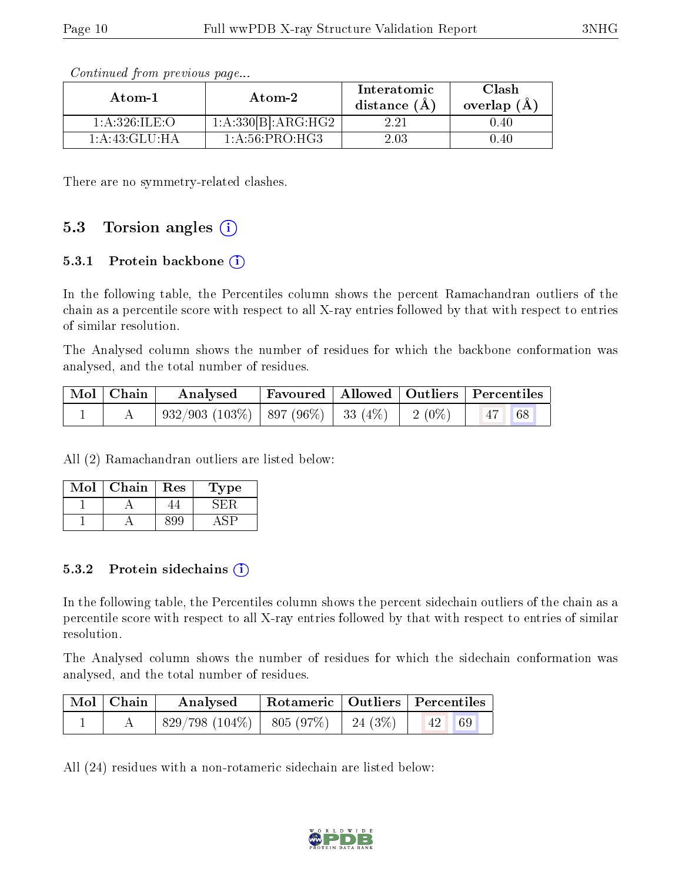| Atom-1            | Atom-2             | Interatomic<br>distance $(A)$ | Clash<br>overlap $(A)$ |
|-------------------|--------------------|-------------------------------|------------------------|
| 1: A:326: ILE:O   | 1:A:330[B]:ARG:HG2 | 2.21                          | 0.40                   |
| 1: A: 43: GLU: HA | 1: A:56:PRO:HG3    | 2.03                          | 1.40                   |

Continued from previous page...

There are no symmetry-related clashes.

#### 5.3 Torsion angles  $(i)$

#### 5.3.1 Protein backbone  $(i)$

In the following table, the Percentiles column shows the percent Ramachandran outliers of the chain as a percentile score with respect to all X-ray entries followed by that with respect to entries of similar resolution.

The Analysed column shows the number of residues for which the backbone conformation was analysed, and the total number of residues.

| Mol   Chain | Analysed                                            |  | Favoured   Allowed   Outliers   Percentiles |
|-------------|-----------------------------------------------------|--|---------------------------------------------|
|             | $932/903$ (103\%)   897 (96\%)   33 (4\%)   2 (0\%) |  | 68<br> 47                                   |

All (2) Ramachandran outliers are listed below:

| VIol | ${\rm Chain}$ | Res | ype |
|------|---------------|-----|-----|
|      |               |     |     |
|      |               |     |     |

#### 5.3.2 Protein sidechains (i)

In the following table, the Percentiles column shows the percent sidechain outliers of the chain as a percentile score with respect to all X-ray entries followed by that with respect to entries of similar resolution.

The Analysed column shows the number of residues for which the sidechain conformation was analysed, and the total number of residues.

| $Mol$   Chain | Analysed                       | Rotameric   Outliers   Percentiles |          |          |  |
|---------------|--------------------------------|------------------------------------|----------|----------|--|
|               | $829/798$ (104\%)   805 (97\%) |                                    | 24 (3\%) | 69<br>42 |  |

All (24) residues with a non-rotameric sidechain are listed below:

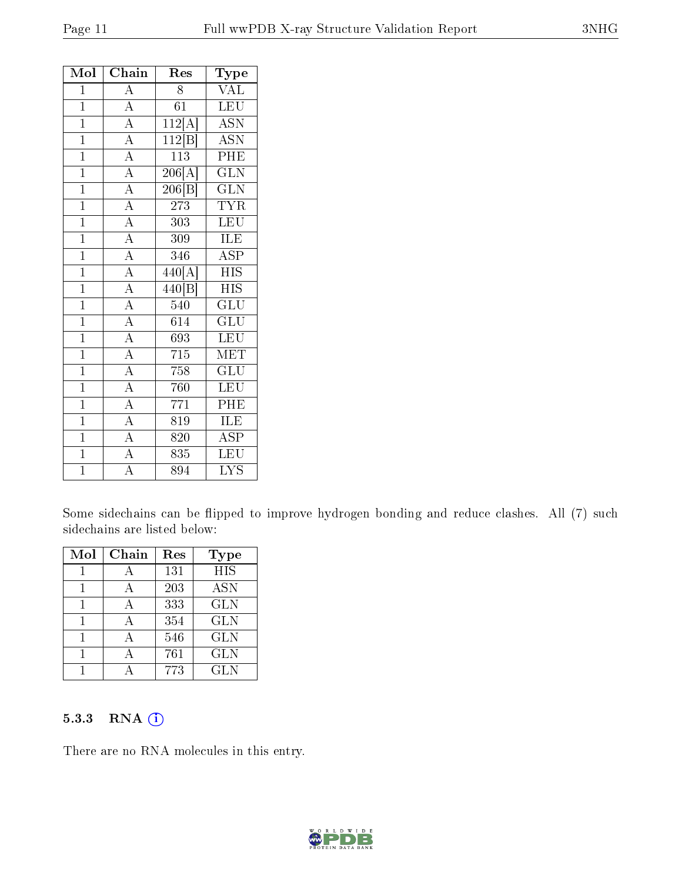| Mol            | Chain              | Res                          | Type                      |
|----------------|--------------------|------------------------------|---------------------------|
| $\mathbf{1}$   | $\overline{A}$     | 8                            | VAL                       |
| $\mathbf{1}$   | $\overline{A}$     | 61                           | LEU                       |
| $\overline{1}$ | $\overline{A}$     | 112[A]                       | ASN                       |
| $\mathbf{1}$   | $\overline{A}$     | 112 B                        | $\overline{\mathrm{ASN}}$ |
| $\mathbf{1}$   | $\overline{A}$     | 113                          | PHE                       |
| $\mathbf{1}$   | $\overline{A}$     | $\overline{206[\mathrm{A}]}$ | $\overline{\text{GLN}}$   |
| $\mathbf{1}$   | $\overline{A}$     | 206 B                        | <b>GLN</b>                |
| $\mathbf{1}$   | $\overline{A}$     | 273                          | <b>TYR</b>                |
| $\overline{1}$ | $\overline{A}$     | 303                          | <b>LEU</b>                |
| $\overline{1}$ | $\overline{A}$     | 309                          | ILE                       |
| $\overline{1}$ | $\overline{A}$     | 346                          | $\overline{\text{ASP}}$   |
| $\overline{1}$ | $\overline{A}$     | 440[A]                       | <b>HIS</b>                |
| $\overline{1}$ | $\overline{A}$     | $\overline{440}$ [B]         | <b>HIS</b>                |
| $\overline{1}$ | $\overline{A}$     | 540                          | $\overline{\text{GLU}}$   |
| $\overline{1}$ | $\overline{A}$     | 614                          | $\overline{{\rm GLU}}$    |
| $\overline{1}$ | $\overline{A}$     | 693                          | <b>LEU</b>                |
| $\overline{1}$ | $\overline{A}$     | 715                          | $\overline{\text{MET}}$   |
| $\overline{1}$ | $\overline{A}$     | 758                          | $\overline{{\rm GLU}}$    |
| $\overline{1}$ | $\overline{A}$     | 760                          | <b>LEU</b>                |
| $\overline{1}$ | $\overline{A}$     | 771                          | PHE                       |
| $\overline{1}$ | $\overline{A}$     | 819                          | ILE                       |
| $\overline{1}$ | $\overline{A}$     | 820                          | <b>ASP</b>                |
| $\overline{1}$ | $\overline{A}$     | 835                          | LEU                       |
| $\mathbf 1$    | $\overline{\rm A}$ | 894                          | <b>LYS</b>                |

Some sidechains can be flipped to improve hydrogen bonding and reduce clashes. All (7) such sidechains are listed below:

| Mol | $Chain$      | Res | <b>Type</b> |
|-----|--------------|-----|-------------|
|     |              | 131 | <b>HIS</b>  |
|     | А            | 203 | <b>ASN</b>  |
|     |              | 333 | <b>GLN</b>  |
|     | А            | 354 | <b>GLN</b>  |
|     | $\mathbf{A}$ | 546 | <b>GLN</b>  |
|     |              | 761 | <b>GLN</b>  |
|     |              | 773 | GLN         |

#### 5.3.3 RNA (i)

There are no RNA molecules in this entry.

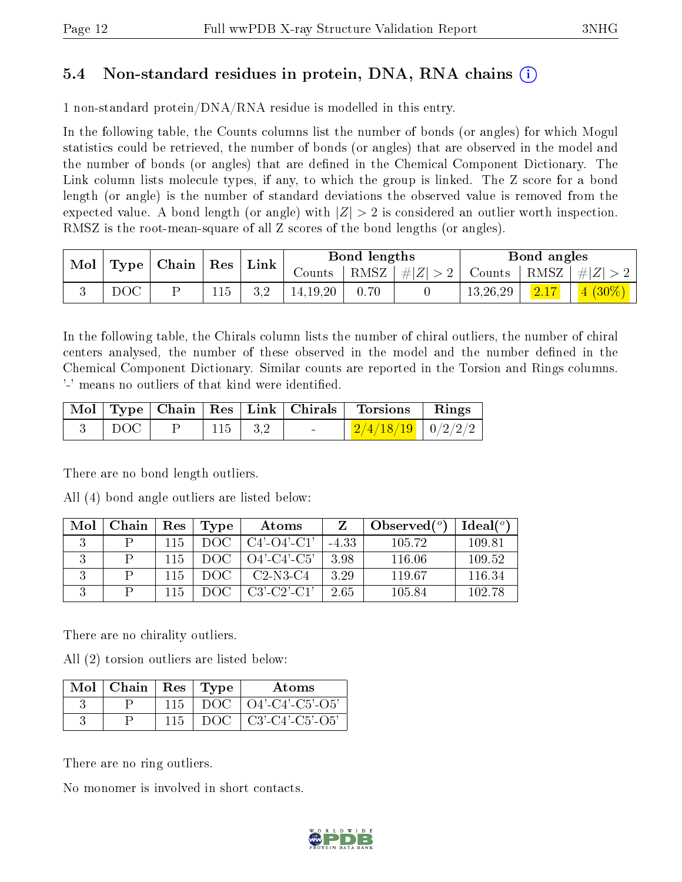### 5.4 Non-standard residues in protein, DNA, RNA chains (i)

1 non-standard protein/DNA/RNA residue is modelled in this entry.

In the following table, the Counts columns list the number of bonds (or angles) for which Mogul statistics could be retrieved, the number of bonds (or angles) that are observed in the model and the number of bonds (or angles) that are dened in the Chemical Component Dictionary. The Link column lists molecule types, if any, to which the group is linked. The Z score for a bond length (or angle) is the number of standard deviations the observed value is removed from the expected value. A bond length (or angle) with  $|Z| > 2$  is considered an outlier worth inspection. RMSZ is the root-mean-square of all Z scores of the bond lengths (or angles).

| $\bf{Mol}$ |     | $\mid$ Type $\mid$ Chain $\mid$ Res $\mid$ |     | $\perp$ Link | Bond lengths        |      |                                                                 | Bond angles |      |                                                |
|------------|-----|--------------------------------------------|-----|--------------|---------------------|------|-----------------------------------------------------------------|-------------|------|------------------------------------------------|
|            |     |                                            |     |              | Counts <sup>1</sup> |      | $\mid$ RMSZ $\mid$ $\# Z  > 2$ $\mid$ Counts $\mid$ RMSZ $\mid$ |             |      | $\lceil \cdot \cdot \cdot \rceil \neq  Z  > 1$ |
|            | DOC |                                            | 115 | 3.2          | 14.19.20            | 0.70 |                                                                 | 13,26,29    | 2.17 | $4(30\%)$                                      |

In the following table, the Chirals column lists the number of chiral outliers, the number of chiral centers analysed, the number of these observed in the model and the number defined in the Chemical Component Dictionary. Similar counts are reported in the Torsion and Rings columns. '-' means no outliers of that kind were identified.

|                     |           |                                   | Mol   Type   Chain   Res   Link   Chirals   Torsions   Rings |  |
|---------------------|-----------|-----------------------------------|--------------------------------------------------------------|--|
| $\vert$ DOC $\vert$ | 115   3.2 | <b>Contract Contract Contract</b> | $\frac{2}{4/18/19}$ 0/2/2/2                                  |  |

There are no bond length outliers.

All (4) bond angle outliers are listed below:

| Mol | Chain | Res  | Type | Atoms                 |         | Observed $(^\circ)$ | Ideal(°) |
|-----|-------|------|------|-----------------------|---------|---------------------|----------|
|     |       | 115. | DOG  | $C4'$ - $O4'$ - $C1'$ | $-4.33$ | 105.72              | 109.81   |
|     |       | 115  | DOG  | $O4'$ -C4'-C5'        | 3.98    | 116.06              | 109.52   |
|     |       | 115  | DOC. | $C2-N3-C4$            | 3.29    | 119.67              | 116.34   |
|     |       | 115  | DOC  | $C3'$ $C2'$ $C1'$     | 2.65    | 105.84              | 102.78   |

There are no chirality outliers.

All (2) torsion outliers are listed below:

| Mol | Chain | $\operatorname{Res}% \left( \mathcal{N}\right) \equiv\operatorname{Res}(\mathcal{N}_{0})\cap\mathcal{N}_{1}$ | Type | Atoms                    |
|-----|-------|--------------------------------------------------------------------------------------------------------------|------|--------------------------|
|     |       | 115                                                                                                          | DOC  | $\left[$ O4'-C4'-C5'-O5' |
|     |       |                                                                                                              | DOG  | $C3'-C4'-C5'-O5'$        |

There are no ring outliers.

No monomer is involved in short contacts.

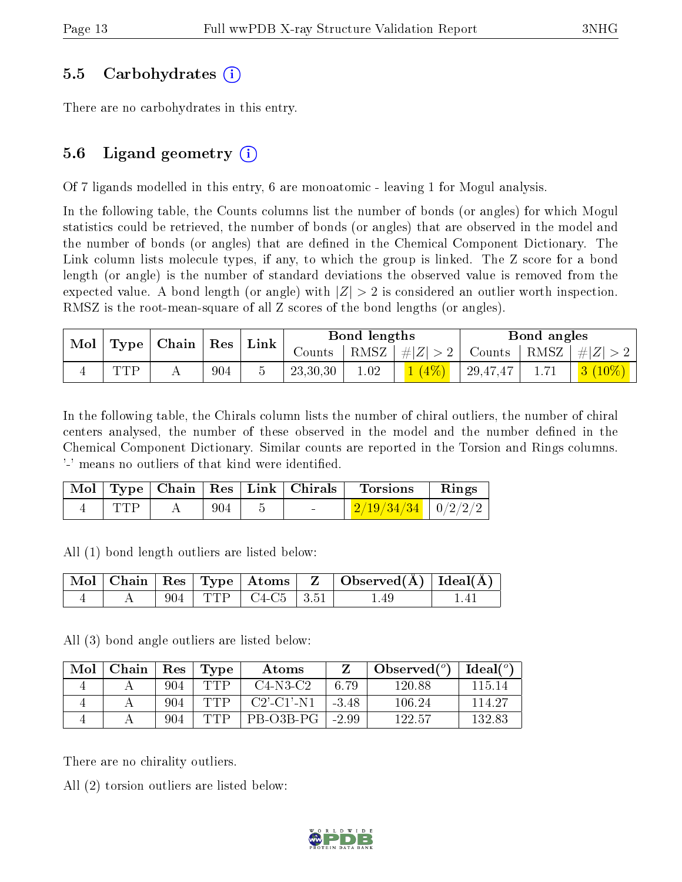#### 5.5 Carbohydrates (i)

There are no carbohydrates in this entry.

### 5.6 Ligand geometry  $(i)$

Of 7 ligands modelled in this entry, 6 are monoatomic - leaving 1 for Mogul analysis.

In the following table, the Counts columns list the number of bonds (or angles) for which Mogul statistics could be retrieved, the number of bonds (or angles) that are observed in the model and the number of bonds (or angles) that are dened in the Chemical Component Dictionary. The Link column lists molecule types, if any, to which the group is linked. The Z score for a bond length (or angle) is the number of standard deviations the observed value is removed from the expected value. A bond length (or angle) with  $|Z| > 2$  is considered an outlier worth inspection. RMSZ is the root-mean-square of all Z scores of the bond lengths (or angles).

| Mol<br>$\Gamma$ ype   Chain   Res |     |     | $^+$ Link | Bond lengths |                    |  | Bond angles |                                  |                          |
|-----------------------------------|-----|-----|-----------|--------------|--------------------|--|-------------|----------------------------------|--------------------------|
|                                   |     |     | Counts    |              | RMSZ   $\# Z  > 2$ |  |             | Counts   RMSZ $\vert \#  Z  > 2$ |                          |
|                                   | TTD | 904 |           | 23,30,30     | $1.02\,$           |  | 29,47,47    |                                  | $\mid$ 3 $(10\%)$ $\mid$ |

In the following table, the Chirals column lists the number of chiral outliers, the number of chiral centers analysed, the number of these observed in the model and the number defined in the Chemical Component Dictionary. Similar counts are reported in the Torsion and Rings columns. '-' means no outliers of that kind were identified.

|            |     | Mol   Type   Chain   Res   Link   Chirals | Torsions                       | Rings |
|------------|-----|-------------------------------------------|--------------------------------|-------|
| <b>TTP</b> | 904 | $\sim$                                    | $\frac{2}{19/34/34}$   0/2/2/2 |       |

All (1) bond length outliers are listed below:

|  |     |                                     | Mol   Chain   Res   Type   Atoms   Z   Observed(A)   Ideal(A) |     |
|--|-----|-------------------------------------|---------------------------------------------------------------|-----|
|  | 904 | $\top$ TTP $\top$ C4-C5 $\top$ 3.51 | 1.49                                                          | 14. |

All (3) bond angle outliers are listed below:

| Mol | $\cap$ hain | $\operatorname{Res}% \left( \mathcal{N}\right) \equiv\operatorname{Res}(\mathcal{N}_{0},\mathcal{N}_{0})$ | Type | Atoms            |         | Observed $(°)$ | $\_$ Ideal( $^o$ ' |
|-----|-------------|-----------------------------------------------------------------------------------------------------------|------|------------------|---------|----------------|--------------------|
|     |             | 904                                                                                                       | TTP  | $C4-N3-C2$       | 6.79    | 120.88         | 115 14             |
|     |             | 904                                                                                                       | TTP  | $C2'$ $C1'$ $N1$ | $-3.48$ | 106.24         | 114.27             |
|     |             | 904                                                                                                       | TTP  | PB-03B-PG        | $-2.99$ | 122.57         | 132.83             |

There are no chirality outliers.

All (2) torsion outliers are listed below:

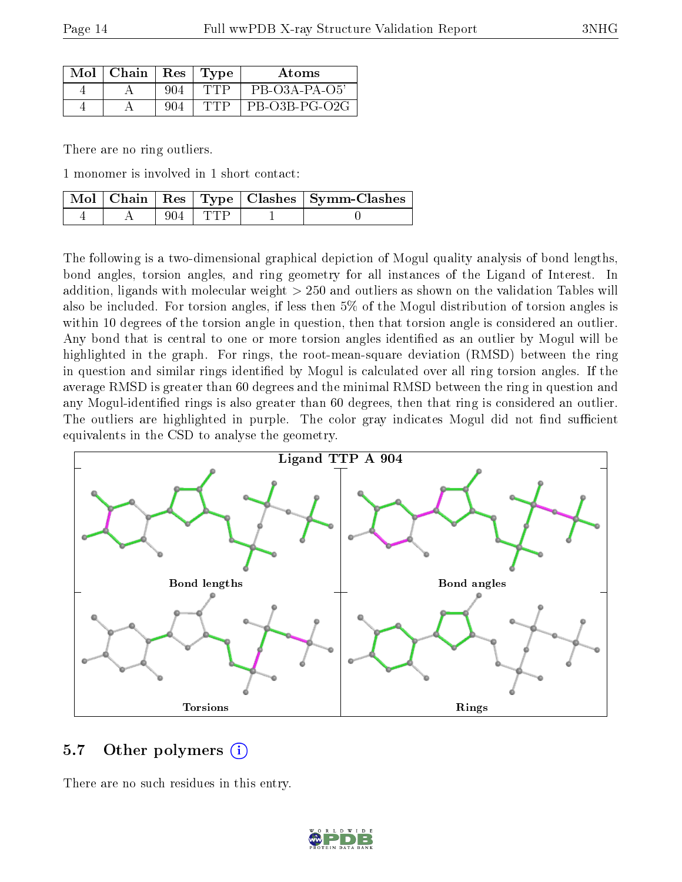| Mol | Chain | Res <sub>1</sub> | Type | Atoms            |
|-----|-------|------------------|------|------------------|
|     |       |                  |      | $PB$ -O3A-PA-O5' |
|     |       |                  |      | $PB-O3B-PG-O2G$  |

There are no ring outliers.

1 monomer is involved in 1 short contact:

|  |           | Mol   Chain   Res   Type   Clashes   Symm-Clashes |
|--|-----------|---------------------------------------------------|
|  | $904$ TTP |                                                   |

The following is a two-dimensional graphical depiction of Mogul quality analysis of bond lengths, bond angles, torsion angles, and ring geometry for all instances of the Ligand of Interest. In addition, ligands with molecular weight > 250 and outliers as shown on the validation Tables will also be included. For torsion angles, if less then 5% of the Mogul distribution of torsion angles is within 10 degrees of the torsion angle in question, then that torsion angle is considered an outlier. Any bond that is central to one or more torsion angles identified as an outlier by Mogul will be highlighted in the graph. For rings, the root-mean-square deviation (RMSD) between the ring in question and similar rings identified by Mogul is calculated over all ring torsion angles. If the average RMSD is greater than 60 degrees and the minimal RMSD between the ring in question and any Mogul-identified rings is also greater than 60 degrees, then that ring is considered an outlier. The outliers are highlighted in purple. The color gray indicates Mogul did not find sufficient equivalents in the CSD to analyse the geometry.



#### 5.7 [O](https://www.wwpdb.org/validation/2017/XrayValidationReportHelp#nonstandard_residues_and_ligands)ther polymers  $(i)$

There are no such residues in this entry.

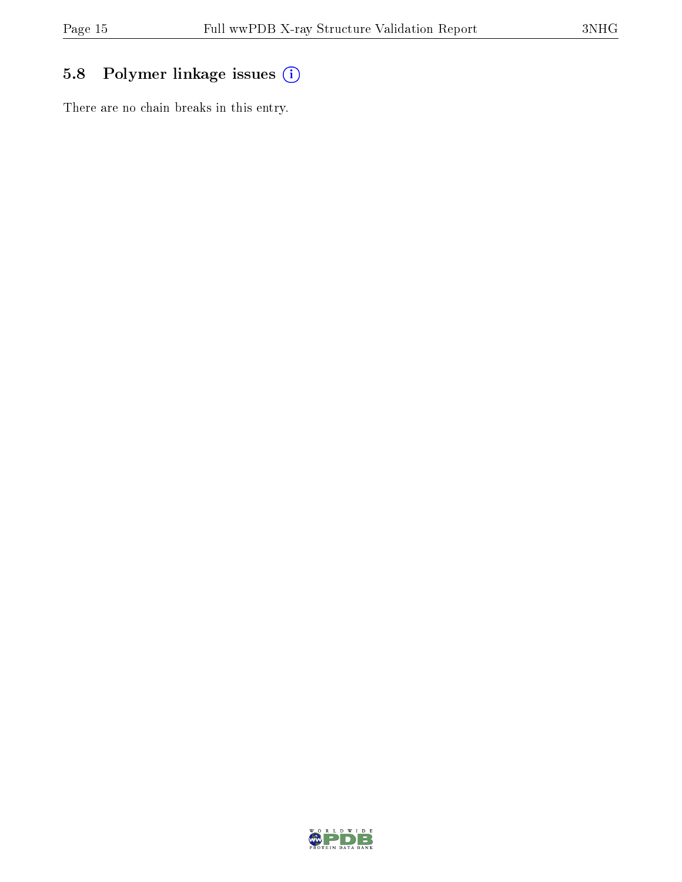## 5.8 Polymer linkage issues (i)

There are no chain breaks in this entry.

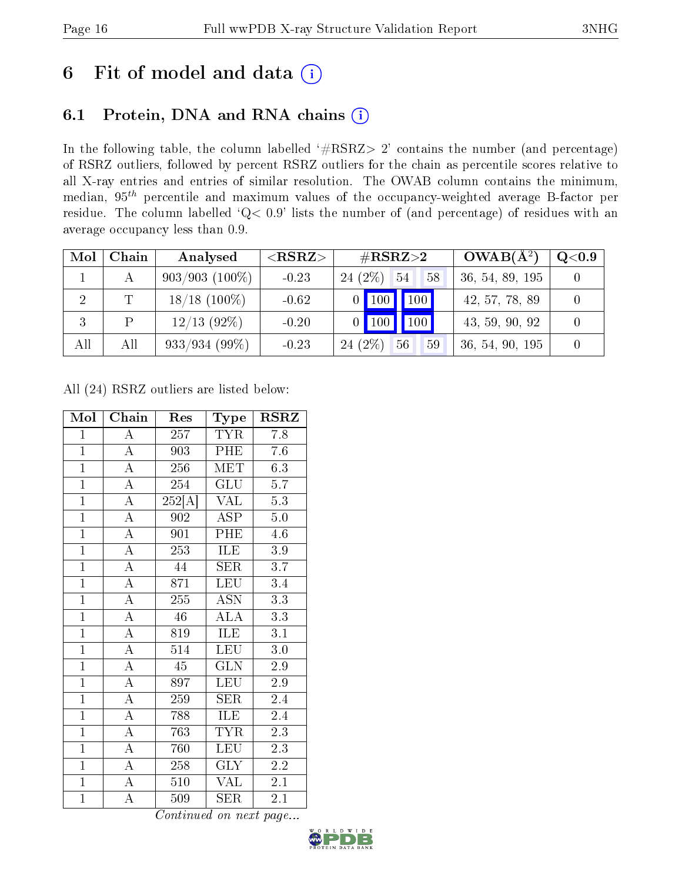# 6 Fit of model and data  $(i)$

### 6.1 Protein, DNA and RNA chains  $(i)$

In the following table, the column labelled  $#RSRZ> 2'$  contains the number (and percentage) of RSRZ outliers, followed by percent RSRZ outliers for the chain as percentile scores relative to all X-ray entries and entries of similar resolution. The OWAB column contains the minimum, median,  $95<sup>th</sup>$  percentile and maximum values of the occupancy-weighted average B-factor per residue. The column labelled ' $Q< 0.9$ ' lists the number of (and percentage) of residues with an average occupancy less than 0.9.

| Mol            | Chain | Analysed         | ${ <\hspace{-1.5pt}{\mathrm{RSRZ}} \hspace{-1.5pt}>}$ | $\#\text{RSRZ}{>}2$                | $OWAB(A^2)$     | Q <sub>0.9</sub> |
|----------------|-------|------------------|-------------------------------------------------------|------------------------------------|-----------------|------------------|
|                |       | $903/903(100\%)$ | $-0.23$                                               | 24 (2\%)<br>54<br>58               | 36, 54, 89, 195 |                  |
| $\overline{2}$ |       | $18/18$ (100\%)  | $-0.62$                                               | $\vert$ 100   100                  | 42, 57, 78, 89  |                  |
| 3              |       | $12/13$ (92%)    | $-0.20$                                               | $\blacksquare$ 100<br>$\sqrt{100}$ | 43, 59, 90, 92  |                  |
| All            | All   | $933/934(99\%)$  | $-0.23$                                               | $24(2\%)$<br>56<br>59              | 36, 54, 90, 195 |                  |

All (24) RSRZ outliers are listed below:

| Mol            | Chain              | Res                 | Type                   | <b>RSRZ</b>      |
|----------------|--------------------|---------------------|------------------------|------------------|
| $\mathbf{1}$   | A                  | 257                 | <b>TYR</b>             | 7.8              |
| $\overline{1}$ | $\overline{A}$     | 903                 | PHE                    | 7.6              |
| $\overline{1}$ | $\overline{\rm A}$ | 256                 | $\operatorname{MET}$   | 6.3              |
| $\overline{1}$ | $\overline{A}$     | 254                 | $\overline{{\rm GLU}}$ | 5.7              |
| $\overline{1}$ | $\overline{\rm A}$ | $\overline{252[A]}$ | <b>VAL</b>             | 5.3              |
| $\overline{1}$ | $\overline{\rm A}$ | 902                 | <b>ASP</b>             | $5.0\,$          |
| $\overline{1}$ | $\overline{\rm A}$ | 901                 | PHE                    | 4.6              |
| $\overline{1}$ | $\overline{\rm A}$ | 253                 | ILE                    | 3.9              |
| $\overline{1}$ | $\overline{\rm A}$ | 44                  | <b>SER</b>             | $\overline{3}.7$ |
| $\overline{1}$ | $\overline{\rm A}$ | 871                 | <b>LEU</b>             | 3.4              |
| $\overline{1}$ | $\overline{\rm A}$ | $\overline{255}$    | <b>ASN</b>             | $\overline{3.3}$ |
| $\mathbf{1}$   | $\overline{\rm A}$ | 46                  | <b>ALA</b>             | 3.3              |
| $\overline{1}$ | $\overline{\rm A}$ | 819                 | ILE                    | 3.1              |
| $\overline{1}$ | $\overline{\rm A}$ | 514                 | <b>LEU</b>             | 3.0              |
| $\overline{1}$ | $\overline{\rm A}$ | 45                  | <b>GLN</b>             | 2.9              |
| $\overline{1}$ | $\overline{\rm A}$ | 897                 | LEU                    | 2.9              |
| $\overline{1}$ | $\overline{\rm A}$ | 259                 | <b>SER</b>             | 2.4              |
| $\overline{1}$ | $\overline{A}$     | 788                 | <b>ILE</b>             | 2.4              |
| $\overline{1}$ | $\overline{\rm A}$ | 763                 | <b>TYR</b>             | 2.3              |
| $\overline{1}$ | $\overline{\rm A}$ | 760                 | <b>LEU</b>             | 2.3              |
| $\mathbf{1}$   | $\overline{\rm A}$ | 258                 | GLY                    | $2.2\,$          |
| $\overline{1}$ | $\overline{\rm A}$ | 510                 | <b>VAL</b>             | 2.1              |
| $\overline{1}$ | $\overline{\rm A}$ | 509                 | <b>SER</b>             | 2.1              |

Continued on next page...

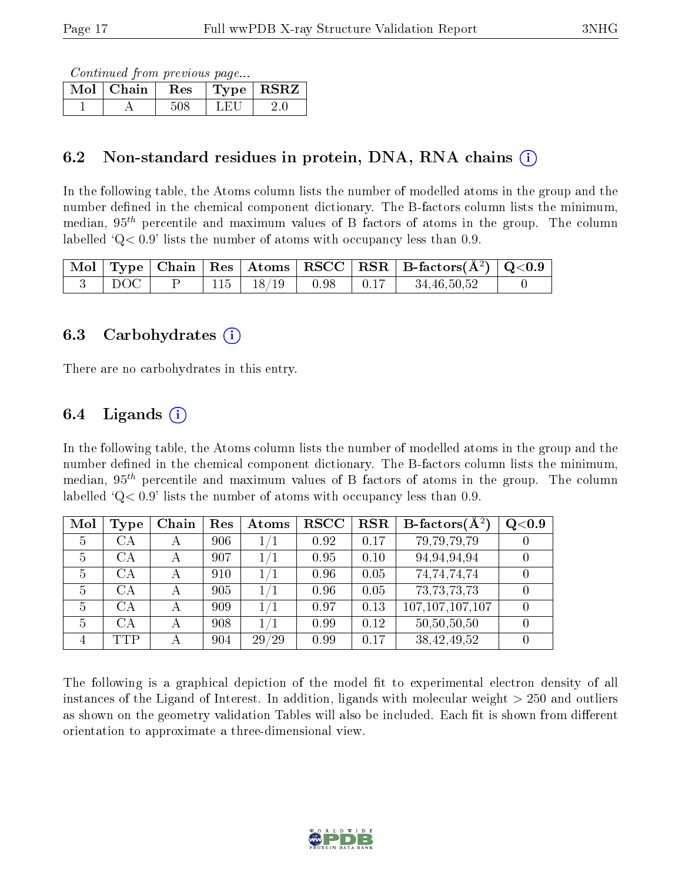Continued from previous page...

| Mol | Chain | <b>Res</b> | Type | <b>RSRZ</b> |
|-----|-------|------------|------|-------------|
|     |       |            |      |             |

### 6.2 Non-standard residues in protein, DNA, RNA chains (i)

In the following table, the Atoms column lists the number of modelled atoms in the group and the number defined in the chemical component dictionary. The B-factors column lists the minimum, median,  $95<sup>th</sup>$  percentile and maximum values of B factors of atoms in the group. The column labelled  $Q< 0.9$  lists the number of atoms with occupancy less than 0.9.

|  |  |                        |            | $\mid$ Mol $\mid$ Type $\mid$ Chain $\mid$ Res $\mid$ Atoms $\mid$ RSCC $\mid$ RSR $\mid$ B-factors(Å <sup>2</sup> ) $\mid$ Q<0.9 $\mid$ |  |
|--|--|------------------------|------------|------------------------------------------------------------------------------------------------------------------------------------------|--|
|  |  | $115$   $18/19$   0.98 | $\pm 0.17$ | 34,46,50,52                                                                                                                              |  |

#### 6.3 Carbohydrates (i)

There are no carbohydrates in this entry.

### 6.4 Ligands  $(i)$

In the following table, the Atoms column lists the number of modelled atoms in the group and the number defined in the chemical component dictionary. The B-factors column lists the minimum, median,  $95<sup>th</sup>$  percentile and maximum values of B factors of atoms in the group. The column labelled  $Q < 0.9$ ' lists the number of atoms with occupancy less than 0.9.

| Mol            | <b>Type</b> | Chain | Res | Atoms   | $_{\rm RSCC}$ | <b>RSR</b> | B-factors $(\overline{A^2})$ | Q <sub>0.9</sub> |
|----------------|-------------|-------|-----|---------|---------------|------------|------------------------------|------------------|
| 5              | CА          |       | 906 | 1/1     | 0.92          | 0.17       | 79,79,79,79                  |                  |
| 5              | CA          | А     | 907 | 1/1     | 0.95          | 0.10       | 94,94,94,94                  |                  |
| $\overline{5}$ | CA          | А     | 910 | 1/1     | 0.96          | 0.05       | 74,74,74,74                  |                  |
| $\overline{5}$ | CА          | А     | 905 | 1/1     | 0.96          | 0.05       | 73, 73, 73, 73               |                  |
| 5              | СA          |       | 909 | 1/1     | 0.97          | 0.13       | 107, 107, 107, 107           |                  |
| 5              | CА          |       | 908 | $1/1\,$ | 0.99          | 0.12       | 50,50,50,50                  |                  |
| 4              | TTP         |       | 904 | 29/29   | 0.99          | 0.17       | 38,42,49,52                  |                  |

The following is a graphical depiction of the model fit to experimental electron density of all instances of the Ligand of Interest. In addition, ligands with molecular weight  $> 250$  and outliers as shown on the geometry validation Tables will also be included. Each fit is shown from different orientation to approximate a three-dimensional view.